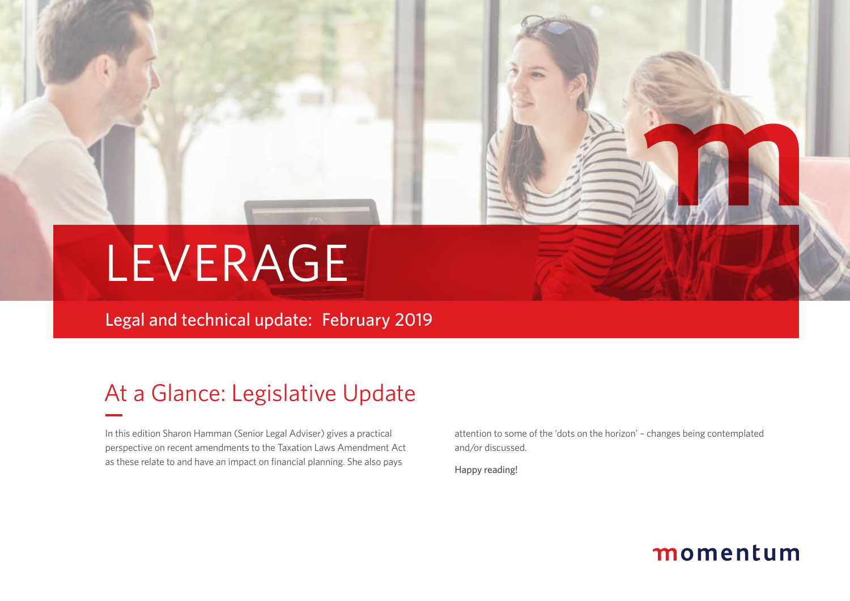# LEVERAGE

Legal and technical update: February 2019

## At a Glance: Legislative Update

In this edition Sharon Hamman (Senior Legal Adviser) gives a practical perspective on recent amendments to the Taxation Laws Amendment Act as these relate to and have an impact on financial planning. She also pays

attention to some of the 'dots on the horizon' – changes being contemplated and/or discussed.

Happy reading!

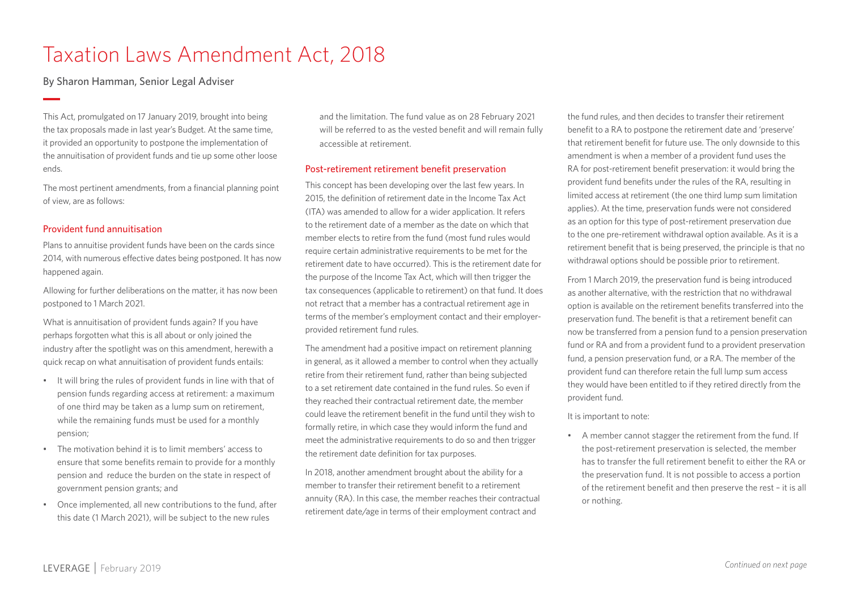## Taxation Laws Amendment Act, 2018

By Sharon Hamman, Senior Legal Adviser

This Act, promulgated on 17 January 2019, brought into being the tax proposals made in last year's Budget. At the same time, it provided an opportunity to postpone the implementation of the annuitisation of provident funds and tie up some other loose ends.

The most pertinent amendments, from a financial planning point of view, are as follows:

#### Provident fund annuitisation

Plans to annuitise provident funds have been on the cards since 2014, with numerous effective dates being postponed. It has now happened again.

Allowing for further deliberations on the matter, it has now been postponed to 1 March 2021.

What is annuitisation of provident funds again? If you have perhaps forgotten what this is all about or only joined the industry after the spotlight was on this amendment, herewith a quick recap on what annuitisation of provident funds entails:

- It will bring the rules of provident funds in line with that of pension funds regarding access at retirement: a maximum of one third may be taken as a lump sum on retirement, while the remaining funds must be used for a monthly pension;
- The motivation behind it is to limit members' access to ensure that some benefits remain to provide for a monthly pension and reduce the burden on the state in respect of government pension grants; and
- Once implemented, all new contributions to the fund, after this date (1 March 2021), will be subject to the new rules

and the limitation. The fund value as on 28 February 2021 will be referred to as the vested benefit and will remain fully accessible at retirement.

#### Post-retirement retirement benefit preservation

This concept has been developing over the last few years. In 2015, the definition of retirement date in the Income Tax Act (ITA) was amended to allow for a wider application. It refers to the retirement date of a member as the date on which that member elects to retire from the fund (most fund rules would require certain administrative requirements to be met for the retirement date to have occurred). This is the retirement date for the purpose of the Income Tax Act, which will then trigger the tax consequences (applicable to retirement) on that fund. It does not retract that a member has a contractual retirement age in terms of the member's employment contact and their employerprovided retirement fund rules.

The amendment had a positive impact on retirement planning in general, as it allowed a member to control when they actually retire from their retirement fund, rather than being subjected to a set retirement date contained in the fund rules. So even if they reached their contractual retirement date, the member could leave the retirement benefit in the fund until they wish to formally retire, in which case they would inform the fund and meet the administrative requirements to do so and then trigger the retirement date definition for tax purposes.

In 2018, another amendment brought about the ability for a member to transfer their retirement benefit to a retirement annuity (RA). In this case, the member reaches their contractual retirement date/age in terms of their employment contract and

the fund rules, and then decides to transfer their retirement benefit to a RA to postpone the retirement date and 'preserve' that retirement benefit for future use. The only downside to this amendment is when a member of a provident fund uses the RA for post-retirement benefit preservation: it would bring the provident fund benefits under the rules of the RA, resulting in limited access at retirement (the one third lump sum limitation applies). At the time, preservation funds were not considered as an option for this type of post-retirement preservation due to the one pre-retirement withdrawal option available. As it is a retirement benefit that is being preserved, the principle is that no withdrawal options should be possible prior to retirement.

From 1 March 2019, the preservation fund is being introduced as another alternative, with the restriction that no withdrawal option is available on the retirement benefits transferred into the preservation fund. The benefit is that a retirement benefit can now be transferred from a pension fund to a pension preservation fund or RA and from a provident fund to a provident preservation fund, a pension preservation fund, or a RA. The member of the provident fund can therefore retain the full lump sum access they would have been entitled to if they retired directly from the provident fund.

#### It is important to note:

• A member cannot stagger the retirement from the fund. If the post-retirement preservation is selected, the member has to transfer the full retirement benefit to either the RA or the preservation fund. It is not possible to access a portion of the retirement benefit and then preserve the rest – it is all or nothing.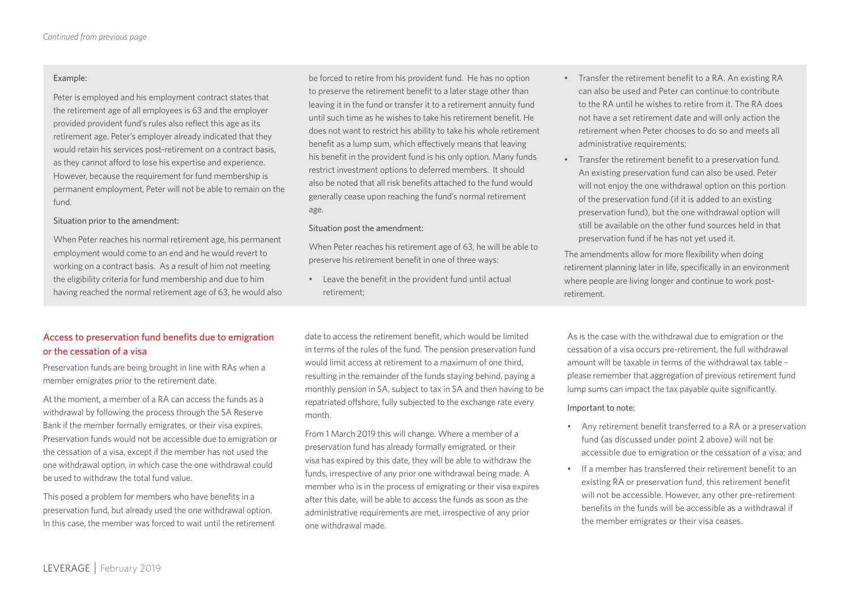#### Example:

Peter is employed and his employment contract states that the retirement age of all employees is 63 and the employer provided provident fund's rules also reflect this age as its retirement age. Peter's employer already indicated that they would retain his services post-retirement on a contract basis, as they cannot afford to lose his expertise and experience. However, because the requirement for fund membership is permanent employment, Peter will not be able to remain on the fund.

#### Situation prior to the amendment:

When Peter reaches his normal retirement age, his permanent employment would come to an end and he would revert to working on a contract basis. As a result of him not meeting the eligibility criteria for fund membership and due to him having reached the normal retirement age of 63, he would also

be forced to retire from his provident fund. He has no option to preserve the retirement benefit to a later stage other than leaving it in the fund or transfer it to a retirement annuity fund until such time as he wishes to take his retirement benefit. He does not want to restrict his ability to take his whole retirement benefit as a lump sum, which effectively means that leaving his benefit in the provident fund is his only option. Many funds restrict investment options to deferred members. It should also be noted that all risk benefits attached to the fund would generally cease upon reaching the fund's normal retirement age.

#### Situation post the amendment:

When Peter reaches his retirement age of 63, he will be able to preserve his retirement benefit in one of three ways:

• Leave the benefit in the provident fund until actual retirement;

- Transfer the retirement benefit to a RA. An existing RA can also be used and Peter can continue to contribute to the RA until he wishes to retire from it. The RA does not have a set retirement date and will only action the retirement when Peter chooses to do so and meets all administrative requirements:
- Transfer the retirement benefit to a preservation fund. An existing preservation fund can also be used. Peter will not enjoy the one withdrawal option on this portion of the preservation fund (if it is added to an existing preservation fund), but the one withdrawal option will still be available on the other fund sources held in that preservation fund if he has not yet used it.

The amendments allow for more flexibility when doing retirement planning later in life, specifically in an environment where people are living longer and continue to work postretirement.

#### Access to preservation fund benefits due to emigration or the cessation of a visa

Preservation funds are being brought in line with RAs when a member emigrates prior to the retirement date.

At the moment, a member of a RA can access the funds as a withdrawal by following the process through the SA Reserve Bank if the member formally emigrates, or their visa expires. Preservation funds would not be accessible due to emigration or the cessation of a visa, except if the member has not used the one withdrawal option, in which case the one withdrawal could be used to withdraw the total fund value.

This posed a problem for members who have benefits in a preservation fund, but already used the one withdrawal option. In this case, the member was forced to wait until the retirement

date to access the retirement benefit, which would be limited in terms of the rules of the fund. The pension preservation fund would limit access at retirement to a maximum of one third, resulting in the remainder of the funds staying behind, paying a monthly pension in SA, subject to tax in SA and then having to be repatriated offshore, fully subjected to the exchange rate every month.

From 1 March 2019 this will change. Where a member of a preservation fund has already formally emigrated, or their visa has expired by this date, they will be able to withdraw the funds, irrespective of any prior one withdrawal being made. A member who is in the process of emigrating or their visa expires after this date, will be able to access the funds as soon as the administrative requirements are met, irrespective of any prior one withdrawal made.

As is the case with the withdrawal due to emigration or the cessation of a visa occurs pre-retirement, the full withdrawal amount will be taxable in terms of the withdrawal tax table – please remember that aggregation of previous retirement fund lump sums can impact the tax payable quite significantly.

#### Important to note:

- Any retirement benefit transferred to a RA or a preservation fund (as discussed under point 2 above) will not be accessible due to emigration or the cessation of a visa; and
- If a member has transferred their retirement benefit to an existing RA or preservation fund, this retirement benefit will not be accessible. However, any other pre-retirement benefits in the funds will be accessible as a withdrawal if the member emigrates or their visa ceases.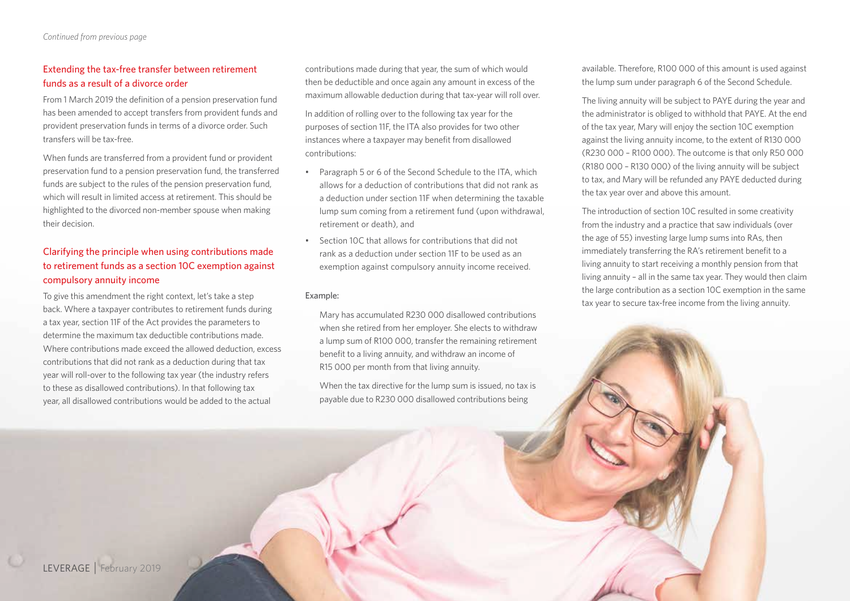#### Extending the tax-free transfer between retirement funds as a result of a divorce order

From 1 March 2019 the definition of a pension preservation fund has been amended to accept transfers from provident funds and provident preservation funds in terms of a divorce order. Such transfers will be tax-free.

When funds are transferred from a provident fund or provident preservation fund to a pension preservation fund, the transferred funds are subject to the rules of the pension preservation fund, which will result in limited access at retirement. This should be highlighted to the divorced non-member spouse when making their decision.

### Clarifying the principle when using contributions made to retirement funds as a section 10C exemption against compulsory annuity income

To give this amendment the right context, let's take a step back. Where a taxpayer contributes to retirement funds during a tax year, section 11F of the Act provides the parameters to determine the maximum tax deductible contributions made. Where contributions made exceed the allowed deduction, excess contributions that did not rank as a deduction during that tax year will roll-over to the following tax year (the industry refers to these as disallowed contributions). In that following tax year, all disallowed contributions would be added to the actual

contributions made during that year, the sum of which would then be deductible and once again any amount in excess of the maximum allowable deduction during that tax-year will roll over.

In addition of rolling over to the following tax year for the purposes of section 11F, the ITA also provides for two other instances where a taxpayer may benefit from disallowed contributions:

- Paragraph 5 or 6 of the Second Schedule to the ITA, which allows for a deduction of contributions that did not rank as a deduction under section 11F when determining the taxable lump sum coming from a retirement fund (upon withdrawal, retirement or death), and
- Section 10C that allows for contributions that did not rank as a deduction under section 11F to be used as an exemption against compulsory annuity income received.

#### Example:

Mary has accumulated R230 000 disallowed contributions when she retired from her employer. She elects to withdraw a lump sum of R100 000, transfer the remaining retirement benefit to a living annuity, and withdraw an income of R15 000 per month from that living annuity.

When the tax directive for the lump sum is issued, no tax is payable due to R230 000 disallowed contributions being

available. Therefore, R100 000 of this amount is used against the lump sum under paragraph 6 of the Second Schedule.

The living annuity will be subject to PAYE during the year and the administrator is obliged to withhold that PAYE. At the end of the tax year, Mary will enjoy the section 10C exemption against the living annuity income, to the extent of R130 000 (R230 000 – R100 000). The outcome is that only R50 000 (R180 000 – R130 000) of the living annuity will be subject to tax, and Mary will be refunded any PAYE deducted during the tax year over and above this amount.

The introduction of section 10C resulted in some creativity from the industry and a practice that saw individuals (over the age of 55) investing large lump sums into RAs, then immediately transferring the RA's retirement benefit to a living annuity to start receiving a monthly pension from that living annuity – all in the same tax year. They would then claim the large contribution as a section 10C exemption in the same tax year to secure tax-free income from the living annuity.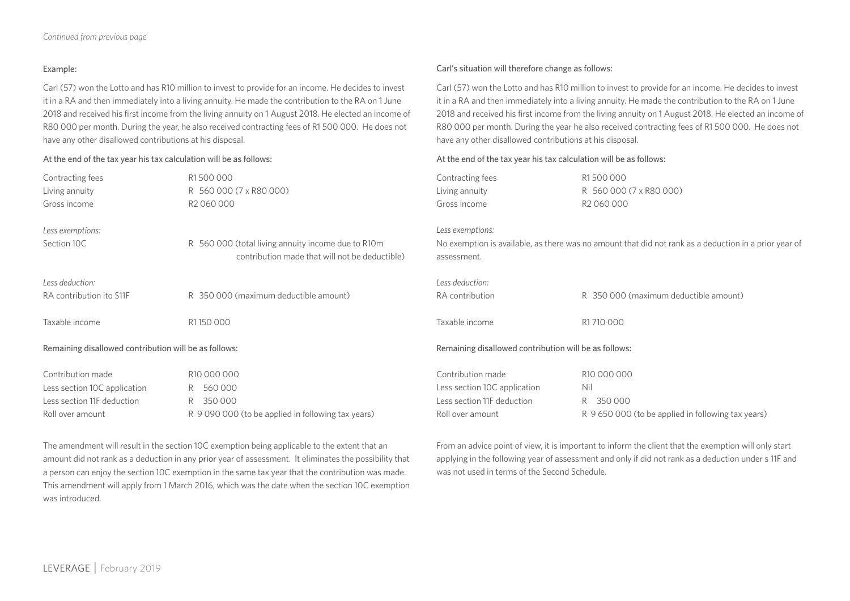#### Example:

Carl (57) won the Lotto and has R10 million to invest to provide for an income. He decides to invest it in a RA and then immediately into a living annuity. He made the contribution to the RA on 1 June 2018 and received his first income from the living annuity on 1 August 2018. He elected an income of R80 000 per month. During the year, he also received contracting fees of R1 500 000. He does not have any other disallowed contributions at his disposal.

#### At the end of the tax year his tax calculation will be as follows:

#### Carl's situation will therefore change as follows:

Carl (57) won the Lotto and has R10 million to invest to provide for an income. He decides to invest it in a RA and then immediately into a living annuity. He made the contribution to the RA on 1 June 2018 and received his first income from the living annuity on 1 August 2018. He elected an income of R80 000 per month. During the year he also received contracting fees of R1 500 000. He does not have any other disallowed contributions at his disposal.

#### At the end of the tax year his tax calculation will be as follows:

| Contracting fees                                      | R1500000                                           | Contracting fees                                      | R1500000                                                                                              |
|-------------------------------------------------------|----------------------------------------------------|-------------------------------------------------------|-------------------------------------------------------------------------------------------------------|
| Living annuity                                        | R 560 000 (7 x R80 000)                            | Living annuity                                        | R 560 000 (7 x R80 000)                                                                               |
| Gross income                                          | R <sub>2</sub> 060 000                             | Gross income                                          | R <sub>2</sub> 060 000                                                                                |
| Less exemptions:                                      | R 560 000 (total living annuity income due to R10m | Less exemptions:                                      | No exemption is available, as there was no amount that did not rank as a deduction in a prior year of |
| Section 10C                                           | contribution made that will not be deductible)     | assessment.                                           |                                                                                                       |
| Less deduction:<br>RA contribution ito S11F           | R 350 000 (maximum deductible amount)              | Less deduction:<br>RA contribution                    | R 350 000 (maximum deductible amount)                                                                 |
| Taxable income                                        | R1150000                                           | Taxable income                                        | R1710000                                                                                              |
| Remaining disallowed contribution will be as follows: |                                                    | Remaining disallowed contribution will be as follows: |                                                                                                       |
| Contribution made                                     | R10 000 000                                        | Contribution made                                     | R10 000 000                                                                                           |
| Less section 10C application                          | R 560000                                           | Less section 10C application                          | Nil                                                                                                   |
| Less section 11F deduction                            | R 350000                                           | Less section 11F deduction                            | R 350 000                                                                                             |
| Roll over amount                                      | R 9 090 000 (to be applied in following tax years) | Roll over amount                                      | R 9 650 000 (to be applied in following tax years)                                                    |

The amendment will result in the section 10C exemption being applicable to the extent that an amount did not rank as a deduction in any prior year of assessment. It eliminates the possibility that a person can enjoy the section 10C exemption in the same tax year that the contribution was made. This amendment will apply from 1 March 2016, which was the date when the section 10C exemption was introduced.

From an advice point of view, it is important to inform the client that the exemption will only start applying in the following year of assessment and only if did not rank as a deduction under s 11F and was not used in terms of the Second Schedule.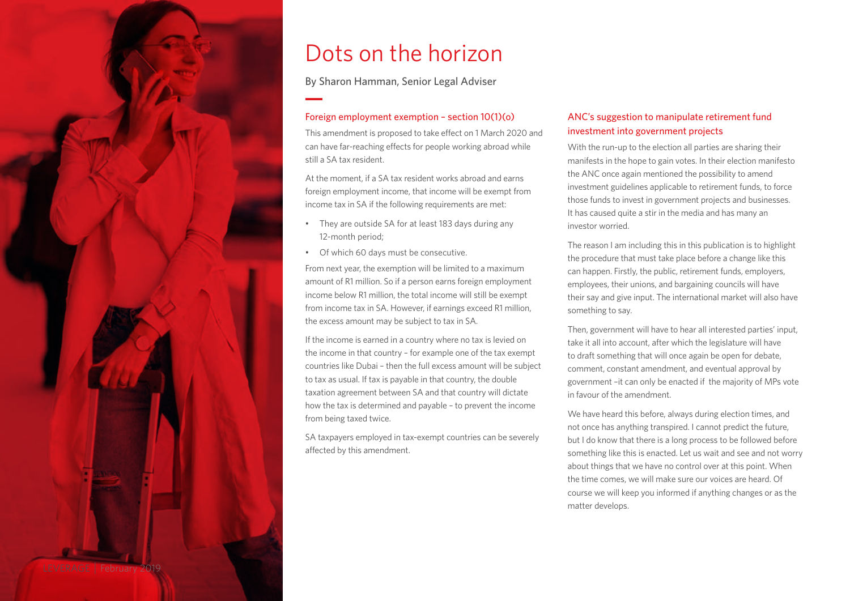

## Dots on the horizon

By Sharon Hamman, Senior Legal Adviser

#### Foreign employment exemption – section 10(1)(o)

This amendment is proposed to take effect on 1 March 2020 and can have far-reaching effects for people working abroad while still a SA tax resident.

At the moment if a SA tax resident works abroad and earns foreign employment income, that income will be exempt from income tax in SA if the following requirements are met:

- They are outside SA for at least 183 days during any 12-month period;
- Of which 60 days must be consecutive.

From next year, the exemption will be limited to a maximum amount of R1 million. So if a person earns foreign employment income below R1 million, the total income will still be exempt from income tax in SA. However, if earnings exceed R1 million, the excess amount may be subject to tax in SA.

If the income is earned in a country where no tax is levied on the income in that country – for example one of the tax exempt countries like Dubai – then the full excess amount will be subject to tax as usual. If tax is payable in that country, the double taxation agreement between SA and that country will dictate how the tax is determined and payable – to prevent the income from being taxed twice.

SA taxpayers employed in tax-exempt countries can be severely affected by this amendment.

#### ANC's suggestion to manipulate retirement fund investment into government projects

With the run-up to the election all parties are sharing their manifests in the hope to gain votes. In their election manifesto the ANC once again mentioned the possibility to amend investment guidelines applicable to retirement funds, to force those funds to invest in government projects and businesses. It has caused quite a stir in the media and has many an investor worried.

The reason I am including this in this publication is to highlight the procedure that must take place before a change like this can happen. Firstly, the public, retirement funds, employers, employees, their unions, and bargaining councils will have their say and give input. The international market will also have something to say.

Then, government will have to hear all interested parties' input, take it all into account, after which the legislature will have to draft something that will once again be open for debate, comment, constant amendment, and eventual approval by government –it can only be enacted if the majority of MPs vote in favour of the amendment.

We have heard this before, always during election times, and not once has anything transpired. I cannot predict the future, but I do know that there is a long process to be followed before something like this is enacted. Let us wait and see and not worry about things that we have no control over at this point. When the time comes, we will make sure our voices are heard. Of course we will keep you informed if anything changes or as the matter develops.